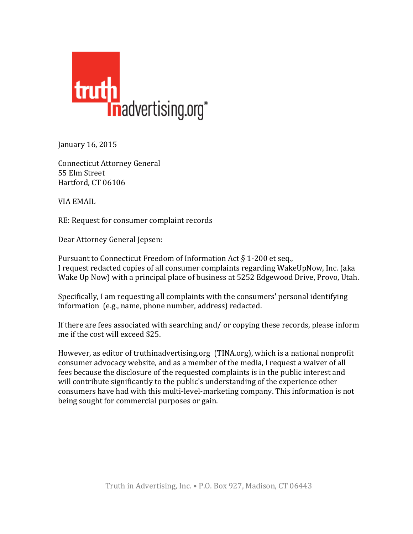

January 16, 2015

Connecticut Attorney General 55 Elm Street Hartford, CT 06106

VIA EMAIL

RE: Request for consumer complaint records

Dear Attorney General Jepsen:

Pursuant to Connecticut Freedom of Information Act  $\S$  1-200 et seq., I request redacted copies of all consumer complaints regarding WakeUpNow, Inc. (aka Wake Up Now) with a principal place of business at 5252 Edgewood Drive, Provo, Utah.

Specifically, I am requesting all complaints with the consumers' personal identifying information (e.g., name, phone number, address) redacted.

If there are fees associated with searching and/ or copying these records, please inform me if the cost will exceed \$25.

However, as editor of truthinadvertising.org (TINA.org), which is a national nonprofit consumer advocacy website, and as a member of the media, I request a waiver of all fees because the disclosure of the requested complaints is in the public interest and will contribute significantly to the public's understanding of the experience other consumers have had with this multi-level-marketing company. This information is not being sought for commercial purposes or gain.